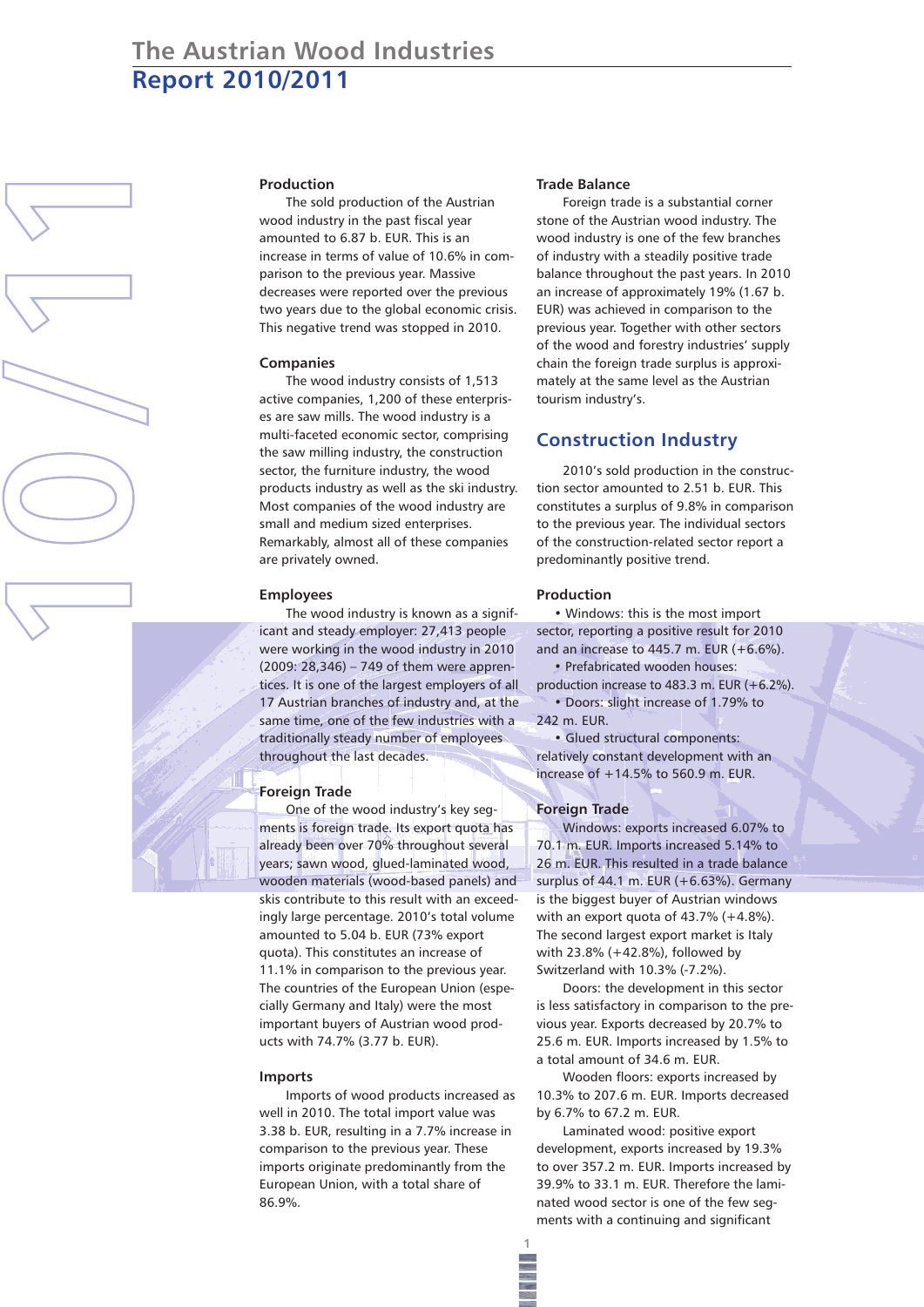# **The Austrian Wood Industries Report 2010/2011**

# **Production**

The sold production of the Austrian wood industry in the past fiscal year amounted to 6.87 b. EUR. This is an increase in terms of value of 10.6% in comparison to the previous year. Massive decreases were reported over the previous two years due to the global economic crisis. This negative trend was stopped in 2010.

#### **Companies**

**10 /11**

The wood industry consists of 1,513 active companies, 1,200 of these enterprises are saw mills. The wood industry is a multi-faceted economic sector, comprising the saw milling industry, the construction sector, the furniture industry, the wood products industry as well as the ski industry. Most companies of the wood industry are small and medium sized enterprises. Remarkably, almost all of these companies are privately owned.

#### **Employees**

The wood industry is known as a significant and steady employer: 27,413 people were working in the wood industry in 2010 (2009: 28,346) – 749 of them were apprentices. It is one of the largest employers of all 17 Austrian branches of industry and, at the same time, one of the few industries with a traditionally steady number of employees throughout the last decades.

#### **Foreign Trade**

One of the wood industry's key segments is foreign trade. Its export quota has already been over 70% throughout several years; sawn wood, glued-laminated wood, wooden materials (wood-based panels) and skis contribute to this result with an exceedingly large percentage. 2010's total volume amounted to 5.04 b. EUR (73% export quota). This constitutes an increase of 11.1% in comparison to the previous year. The countries of the European Union (especially Germany and Italy) were the most important buyers of Austrian wood products with 74.7% (3.77 b. EUR).

#### **Imports**

Imports of wood products increased as well in 2010. The total import value was 3.38 b. EUR, resulting in a 7.7% increase in comparison to the previous year. These imports originate predominantly from the European Union, with a total share of 86.9%.

#### **Trade Balance**

Foreign trade is a substantial corner stone of the Austrian wood industry. The wood industry is one of the few branches of industry with a steadily positive trade balance throughout the past years. In 2010 an increase of approximately 19% (1.67 b. EUR) was achieved in comparison to the previous year. Together with other sectors of the wood and forestry industries' supply chain the foreign trade surplus is approximately at the same level as the Austrian tourism industry's.

# **Construction Industry**

2010's sold production in the construction sector amounted to 2.51 b. EUR. This constitutes a surplus of 9.8% in comparison to the previous year. The individual sectors of the construction-related sector report a predominantly positive trend.

#### **Production**

• Windows: this is the most import sector, reporting a positive result for 2010 and an increase to 445.7 m. EUR (+6.6%). • Prefabricated wooden houses:

production increase to 483.3 m. EUR  $(+6.2\%)$ . • Doors: slight increase of 1.79% to

242 m. EUR. • Glued structural components: relatively constant development with an

increase of +14.5% to 560.9 m. EUR.

# **Foreign Trade**

**1**

Windows: exports increased 6.07% to 70.1 m. EUR. Imports increased 5.14% to 26 m. EUR. This resulted in a trade balance surplus of 44.1 m. EUR (+6.63%). Germany is the biggest buyer of Austrian windows with an export quota of 43.7% (+4.8%). The second largest export market is Italy with 23.8% (+42.8%), followed by Switzerland with 10.3% (-7.2%).

Doors: the development in this sector is less satisfactory in comparison to the previous year. Exports decreased by 20.7% to 25.6 m. EUR. Imports increased by 1.5% to a total amount of 34.6 m. EUR.

Wooden floors: exports increased by 10.3% to 207.6 m. EUR. Imports decreased by 6.7% to 67.2 m. EUR.

Laminated wood: positive export development, exports increased by 19.3% to over 357.2 m. EUR. Imports increased by 39.9% to 33.1 m. EUR. Therefore the laminated wood sector is one of the few segments with a continuing and significant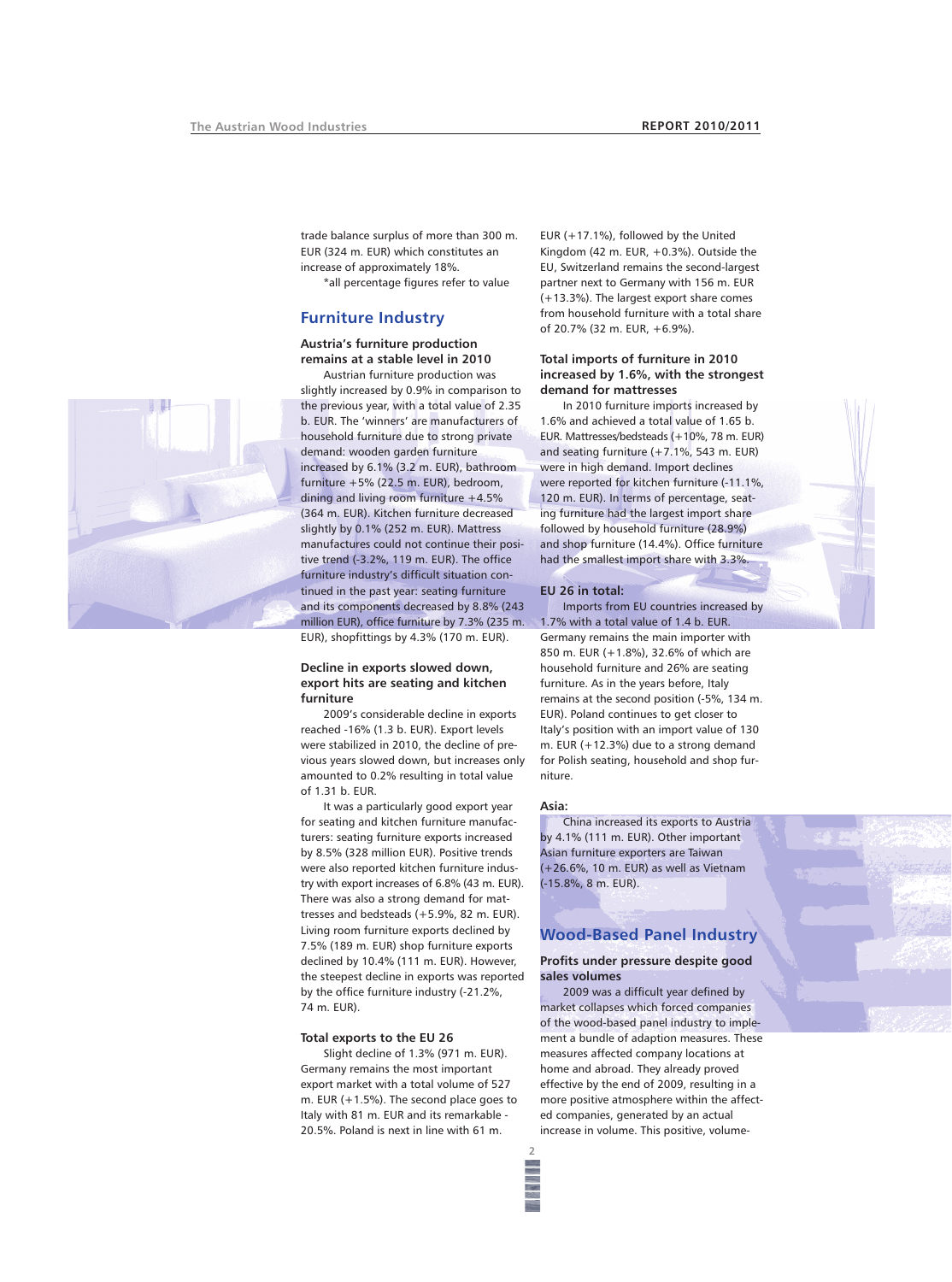trade balance surplus of more than 300 m. EUR (324 m. EUR) which constitutes an increase of approximately 18%.

\*all percentage figures refer to value

# **Furniture Industry**

#### **Austria's furniture production remains at a stable level in 2010**

Austrian furniture production was slightly increased by 0.9% in comparison to the previous year, with a total value of 2.35 b. EUR. The 'winners' are manufacturers of household furniture due to strong private demand: wooden garden furniture increased by 6.1% (3.2 m. EUR), bathroom furniture +5% (22.5 m. EUR), bedroom, dining and living room furniture +4.5% (364 m. EUR). Kitchen furniture decreased slightly by 0.1% (252 m. EUR). Mattress manufactures could not continue their positive trend (-3.2%, 119 m. EUR). The office furniture industry's difficult situation continued in the past year: seating furniture and its components decreased by 8.8% (243 million EUR), office furniture by 7.3% (235 m. EUR), shopfittings by 4.3% (170 m. EUR).

# **Decline in exports slowed down, export hits are seating and kitchen furniture**

2009's considerable decline in exports reached -16% (1.3 b. EUR). Export levels were stabilized in 2010, the decline of previous years slowed down, but increases only amounted to 0.2% resulting in total value of 1.31 b. EUR.

It was a particularly good export year for seating and kitchen furniture manufacturers: seating furniture exports increased by 8.5% (328 million EUR). Positive trends were also reported kitchen furniture industry with export increases of 6.8% (43 m. EUR). There was also a strong demand for mattresses and bedsteads (+5.9%, 82 m. EUR). Living room furniture exports declined by 7.5% (189 m. EUR) shop furniture exports declined by 10.4% (111 m. EUR). However, the steepest decline in exports was reported by the office furniture industry (-21.2%, 74 m. EUR).

## **Total exports to the EU 26**

Slight decline of 1.3% (971 m. EUR). Germany remains the most important export market with a total volume of 527 m. EUR (+1.5%). The second place goes to Italy with 81 m. EUR and its remarkable - 20.5%. Poland is next in line with 61 m.

EUR (+17.1%), followed by the United Kingdom (42 m. EUR, +0.3%). Outside the EU, Switzerland remains the second-largest partner next to Germany with 156 m. EUR (+13.3%). The largest export share comes from household furniture with a total share of 20.7% (32 m. EUR, +6.9%).

## **Total imports of furniture in 2010 increased by 1.6%, with the strongest demand for mattresses**

In 2010 furniture imports increased by 1.6% and achieved a total value of 1.65 b. EUR. Mattresses/bedsteads (+10%, 78 m. EUR) and seating furniture  $(+7.1\%$ , 543 m. EUR) were in high demand. Import declines were reported for kitchen furniture (-11.1%, 120 m. EUR). In terms of percentage, seating furniture had the largest import share followed by household furniture (28.9%) and shop furniture (14.4%). Office furniture had the smallest import share with 3.3%.

#### **EU 26 in total:**

Imports from EU countries increased by 1.7% with a total value of 1.4 b. EUR. Germany remains the main importer with 850 m. EUR (+1.8%), 32.6% of which are household furniture and 26% are seating furniture. As in the years before, Italy remains at the second position (-5%, 134 m. EUR). Poland continues to get closer to Italy's position with an import value of 130 m. EUR (+12.3%) due to a strong demand for Polish seating, household and shop furniture.

# **Asia:**

**2**

China increased its exports to Austria by 4.1% (111 m. EUR). Other important Asian furniture exporters are Taiwan (+26.6%, 10 m. EUR) as well as Vietnam (-15.8%, 8 m. EUR).

# **Wood-Based Panel Industry**

## **Profits under pressure despite good sales volumes**

2009 was a difficult year defined by market collapses which forced companies of the wood-based panel industry to implement a bundle of adaption measures. These measures affected company locations at home and abroad. They already proved effective by the end of 2009, resulting in a more positive atmosphere within the affected companies, generated by an actual increase in volume. This positive, volume-

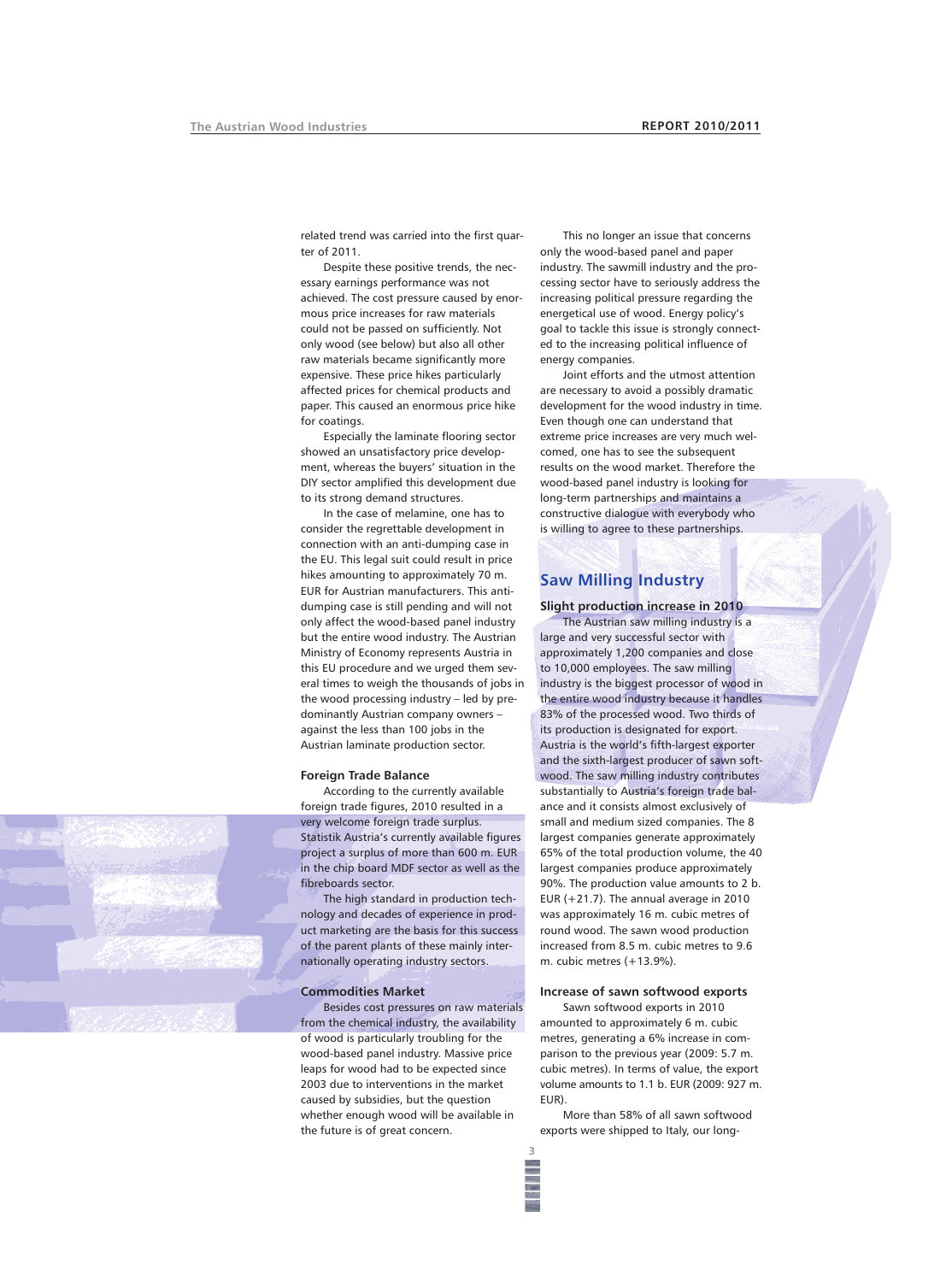related trend was carried into the first quarter of 2011.

Despite these positive trends, the necessary earnings performance was not achieved. The cost pressure caused by enormous price increases for raw materials could not be passed on sufficiently. Not only wood (see below) but also all other raw materials became significantly more expensive. These price hikes particularly affected prices for chemical products and paper. This caused an enormous price hike for coatings.

Especially the laminate flooring sector showed an unsatisfactory price development, whereas the buyers' situation in the DIY sector amplified this development due to its strong demand structures.

In the case of melamine, one has to consider the regrettable development in connection with an anti-dumping case in the EU. This legal suit could result in price hikes amounting to approximately 70 m. EUR for Austrian manufacturers. This antidumping case is still pending and will not only affect the wood-based panel industry but the entire wood industry. The Austrian Ministry of Economy represents Austria in this EU procedure and we urged them several times to weigh the thousands of jobs in the wood processing industry – led by predominantly Austrian company owners – against the less than 100 jobs in the Austrian laminate production sector.

#### **Foreign Trade Balance**

According to the currently available foreign trade figures, 2010 resulted in a very welcome foreign trade surplus. Statistik Austria's currently available figures project a surplus of more than 600 m. EUR in the chip board MDF sector as well as the fibreboards sector.

The high standard in production technology and decades of experience in product marketing are the basis for this success of the parent plants of these mainly internationally operating industry sectors.

## **Commodities Market**

Besides cost pressures on raw materials from the chemical industry, the availability of wood is particularly troubling for the wood-based panel industry. Massive price leaps for wood had to be expected since 2003 due to interventions in the market caused by subsidies, but the question whether enough wood will be available in the future is of great concern.

This no longer an issue that concerns only the wood-based panel and paper industry. The sawmill industry and the processing sector have to seriously address the increasing political pressure regarding the energetical use of wood. Energy policy's goal to tackle this issue is strongly connected to the increasing political influence of energy companies.

Joint efforts and the utmost attention are necessary to avoid a possibly dramatic development for the wood industry in time. Even though one can understand that extreme price increases are very much welcomed, one has to see the subsequent results on the wood market. Therefore the wood-based panel industry is looking for long-term partnerships and maintains a constructive dialogue with everybody who is willing to agree to these partnerships.

# **Saw Milling Industry**

#### **Slight production increase in 2010**

The Austrian saw milling industry is a large and very successful sector with approximately 1,200 companies and close to 10,000 employees. The saw milling industry is the biggest processor of wood in the entire wood industry because it handles 83% of the processed wood. Two thirds of its production is designated for export. Austria is the world's fifth-largest exporter and the sixth-largest producer of sawn softwood. The saw milling industry contributes substantially to Austria's foreign trade balance and it consists almost exclusively of small and medium sized companies. The 8 largest companies generate approximately 65% of the total production volume, the 40 largest companies produce approximately 90%. The production value amounts to 2 b. EUR (+21.7). The annual average in 2010 was approximately 16 m. cubic metres of round wood. The sawn wood production increased from 8.5 m. cubic metres to 9.6 m. cubic metres (+13.9%).

#### **Increase of sawn softwood exports**

Sawn softwood exports in 2010 amounted to approximately 6 m. cubic metres, generating a 6% increase in comparison to the previous year (2009: 5.7 m. cubic metres). In terms of value, the export volume amounts to 1.1 b. EUR (2009: 927 m. EUR).

More than 58% of all sawn softwood exports were shipped to Italy, our long-

**3**